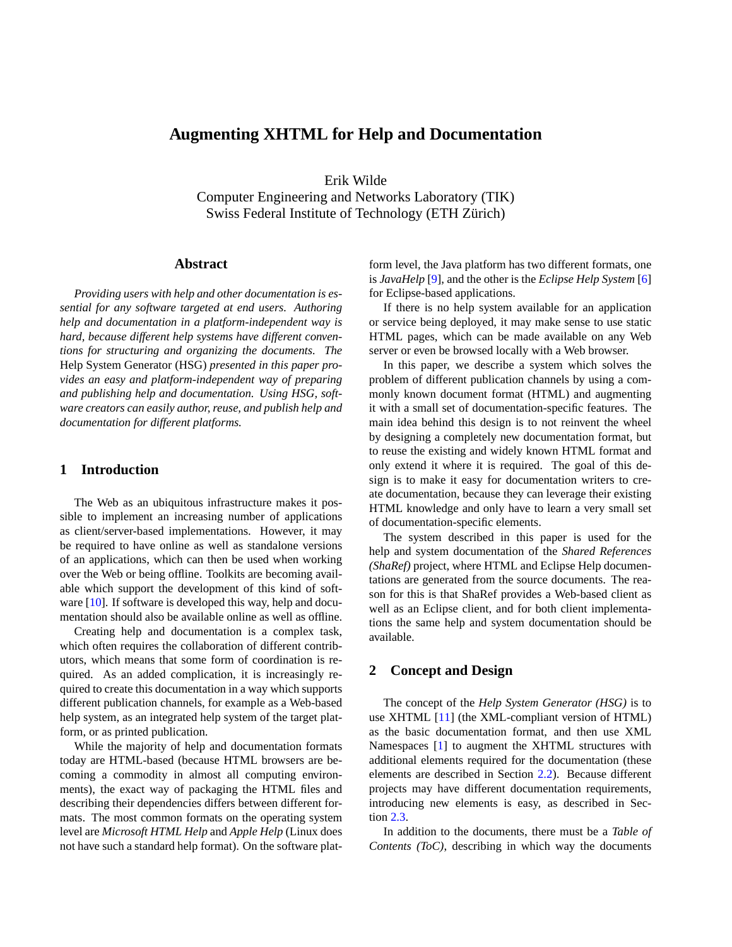# **Augmenting XHTML for Help and Documentation**

Erik Wilde

Computer Engineering and Networks Laboratory (TIK) Swiss Federal Institute of Technology (ETH Zürich)

## **Abstract**

*Providing users with help and other documentation is essential for any software targeted at end users. Authoring help and documentation in a platform-independent way is hard, because different help systems have different conventions for structuring and organizing the documents. The* Help System Generator (HSG) *presented in this paper provides an easy and platform-independent way of preparing and publishing help and documentation. Using HSG, software creators can easily author, reuse, and publish help and documentation for different platforms.*

### **1 Introduction**

The Web as an ubiquitous infrastructure makes it possible to implement an increasing number of applications as client/server-based implementations. However, it may be required to have online as well as standalone versions of an applications, which can then be used when working over the Web or being offline. Toolkits are becoming available which support the development of this kind of soft-ware [\[10\]](#page-4-0). If software is developed this way, help and documentation should also be available online as well as offline.

Creating help and documentation is a complex task, which often requires the collaboration of different contributors, which means that some form of coordination is required. As an added complication, it is increasingly required to create this documentation in a way which supports different publication channels, for example as a Web-based help system, as an integrated help system of the target platform, or as printed publication.

While the majority of help and documentation formats today are HTML-based (because HTML browsers are becoming a commodity in almost all computing environments), the exact way of packaging the HTML files and describing their dependencies differs between different formats. The most common formats on the operating system level are *Microsoft HTML Help* and *Apple Help* (Linux does not have such a standard help format). On the software platform level, the Java platform has two different formats, one is *JavaHelp* [\[9\]](#page-4-0), and the other is the *Eclipse Help System* [\[6\]](#page-4-0) for Eclipse-based applications.

If there is no help system available for an application or service being deployed, it may make sense to use static HTML pages, which can be made available on any Web server or even be browsed locally with a Web browser.

In this paper, we describe a system which solves the problem of different publication channels by using a commonly known document format (HTML) and augmenting it with a small set of documentation-specific features. The main idea behind this design is to not reinvent the wheel by designing a completely new documentation format, but to reuse the existing and widely known HTML format and only extend it where it is required. The goal of this design is to make it easy for documentation writers to create documentation, because they can leverage their existing HTML knowledge and only have to learn a very small set of documentation-specific elements.

The system described in this paper is used for the help and system documentation of the *Shared References (ShaRef)* project, where HTML and Eclipse Help documentations are generated from the source documents. The reason for this is that ShaRef provides a Web-based client as well as an Eclipse client, and for both client implementations the same help and system documentation should be available.

## **2 Concept and Design**

The concept of the *Help System Generator (HSG)* is to use XHTML [\[11\]](#page-4-0) (the XML-compliant version of HTML) as the basic documentation format, and then use XML Namespaces [\[1\]](#page-4-0) to augment the XHTML structures with additional elements required for the documentation (these elements are described in Section [2.2\)](#page-1-0). Because different projects may have different documentation requirements, introducing new elements is easy, as described in Section [2.3.](#page-2-0)

In addition to the documents, there must be a *Table of Contents (ToC)*, describing in which way the documents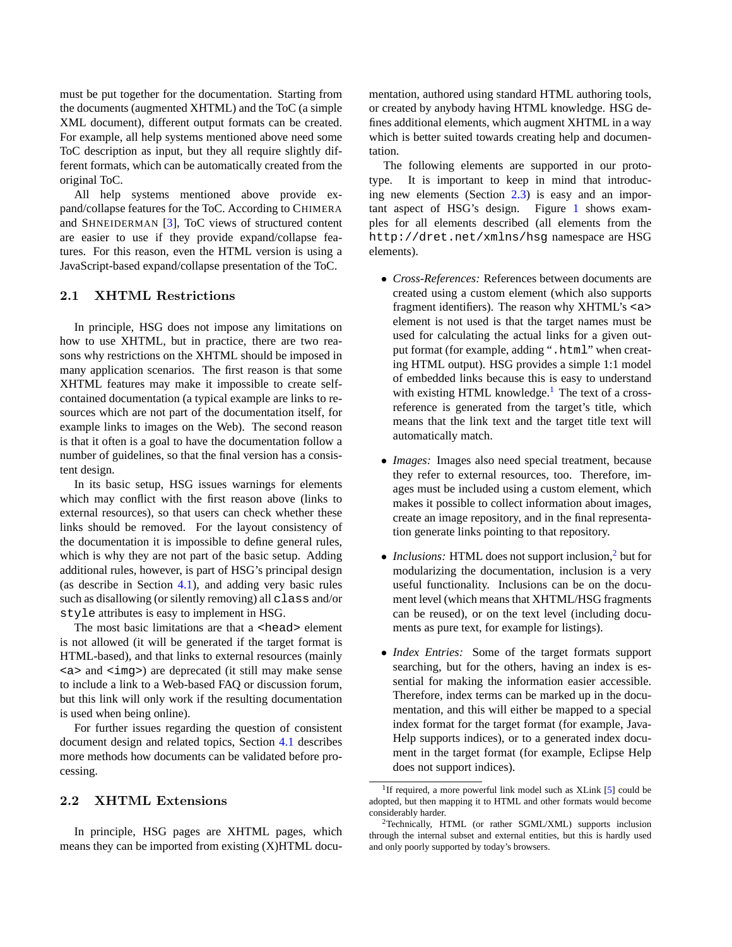<span id="page-1-0"></span>must be put together for the documentation. Starting from the documents (augmented XHTML) and the ToC (a simple XML document), different output formats can be created. For example, all help systems mentioned above need some ToC description as input, but they all require slightly different formats, which can be automatically created from the original ToC.

All help systems mentioned above provide expand/collapse features for the ToC. According to CHIMERA and SHNEIDERMAN [\[3\]](#page-4-0), ToC views of structured content are easier to use if they provide expand/collapse features. For this reason, even the HTML version is using a JavaScript-based expand/collapse presentation of the ToC.

#### 2.1 XHTML Restrictions

In principle, HSG does not impose any limitations on how to use XHTML, but in practice, there are two reasons why restrictions on the XHTML should be imposed in many application scenarios. The first reason is that some XHTML features may make it impossible to create selfcontained documentation (a typical example are links to resources which are not part of the documentation itself, for example links to images on the Web). The second reason is that it often is a goal to have the documentation follow a number of guidelines, so that the final version has a consistent design.

In its basic setup, HSG issues warnings for elements which may conflict with the first reason above (links to external resources), so that users can check whether these links should be removed. For the layout consistency of the documentation it is impossible to define general rules, which is why they are not part of the basic setup. Adding additional rules, however, is part of HSG's principal design (as describe in Section [4.1\)](#page-2-0), and adding very basic rules such as disallowing (or silently removing) all class and/or style attributes is easy to implement in HSG.

The most basic limitations are that a <head> element is not allowed (it will be generated if the target format is HTML-based), and that links to external resources (mainly <a> and <img>) are deprecated (it still may make sense to include a link to a Web-based FAQ or discussion forum, but this link will only work if the resulting documentation is used when being online).

For further issues regarding the question of consistent document design and related topics, Section [4.1](#page-2-0) describes more methods how documents can be validated before processing.

## 2.2 XHTML Extensions

In principle, HSG pages are XHTML pages, which means they can be imported from existing (X)HTML docu-

mentation, authored using standard HTML authoring tools, or created by anybody having HTML knowledge. HSG defines additional elements, which augment XHTML in a way which is better suited towards creating help and documentation.

The following elements are supported in our prototype. It is important to keep in mind that introducing new elements (Section [2.3\)](#page-2-0) is easy and an important aspect of HSG's design. Figure [1](#page-2-0) shows examples for all elements described (all elements from the http://dret.net/xmlns/hsg namespace are HSG elements).

- *Cross-References:* References between documents are created using a custom element (which also supports fragment identifiers). The reason why XHTML's <a> element is not used is that the target names must be used for calculating the actual links for a given output format (for example, adding ".html" when creating HTML output). HSG provides a simple 1:1 model of embedded links because this is easy to understand with existing HTML knowledge.<sup>1</sup> The text of a crossreference is generated from the target's title, which means that the link text and the target title text will automatically match.
- *Images:* Images also need special treatment, because they refer to external resources, too. Therefore, images must be included using a custom element, which makes it possible to collect information about images, create an image repository, and in the final representation generate links pointing to that repository.
- *Inclusions:* HTML does not support inclusion,<sup>2</sup> but for modularizing the documentation, inclusion is a very useful functionality. Inclusions can be on the document level (which means that XHTML/HSG fragments can be reused), or on the text level (including documents as pure text, for example for listings).
- *Index Entries:* Some of the target formats support searching, but for the others, having an index is essential for making the information easier accessible. Therefore, index terms can be marked up in the documentation, and this will either be mapped to a special index format for the target format (for example, Java-Help supports indices), or to a generated index document in the target format (for example, Eclipse Help does not support indices).

<sup>&</sup>lt;sup>1</sup>If required, a more powerful link model such as XLink [\[5\]](#page-4-0) could be adopted, but then mapping it to HTML and other formats would become considerably harder.

<sup>2</sup>Technically, HTML (or rather SGML/XML) supports inclusion through the internal subset and external entities, but this is hardly used and only poorly supported by today's browsers.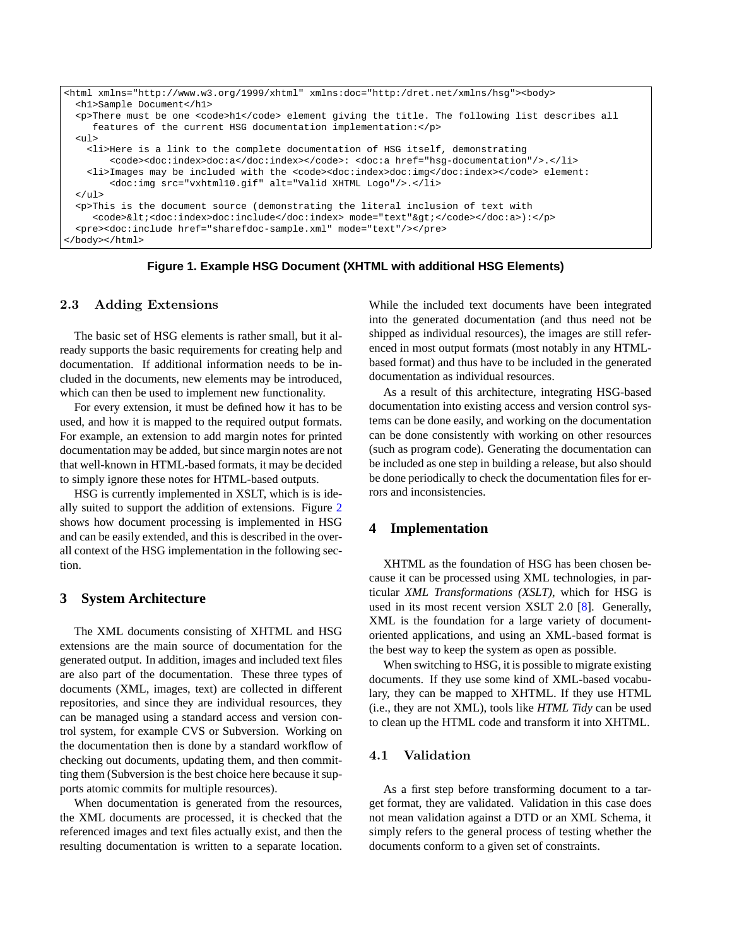```
<html xmlns="http://www.w3.org/1999/xhtml" xmlns:doc="http:/dret.net/xmlns/hsg"><body>
  <h1>Sample Document</h1>
  pThere must be one <code>hl</code> element giving the title. The following list describes all
    features of the current HSG documentation implementation:</p>
  <ul>
   <li>Here is a link to the complete documentation of HSG itself, demonstrating
        <code><doc:index>doc:a</doc:index></code>: <doc:a href="hsg-documentation"/>.</li>
    <li>Images may be included with the <code><doc:index>doc:img</doc:index></code> element:
        <doc:img src="vxhtml10.gif" alt="Valid XHTML Logo"/>.</li>
  \langle/ul>
  <p>This is the document source (demonstrating the literal inclusion of text with
     <code><<doc:index>doc:include</doc:index> mode="text"&gt;</code></doc:a>):</p>
  <pre><doc:include href="sharefdoc-sample.xml" mode="text"/></pre>
</body></html>
```
**Figure 1. Example HSG Document (XHTML with additional HSG Elements)**

### 2.3 Adding Extensions

The basic set of HSG elements is rather small, but it already supports the basic requirements for creating help and documentation. If additional information needs to be included in the documents, new elements may be introduced, which can then be used to implement new functionality.

For every extension, it must be defined how it has to be used, and how it is mapped to the required output formats. For example, an extension to add margin notes for printed documentation may be added, but since margin notes are not that well-known in HTML-based formats, it may be decided to simply ignore these notes for HTML-based outputs.

HSG is currently implemented in XSLT, which is is ideally suited to support the addition of extensions. Figure [2](#page-3-0) shows how document processing is implemented in HSG and can be easily extended, and this is described in the overall context of the HSG implementation in the following section.

## **3 System Architecture**

The XML documents consisting of XHTML and HSG extensions are the main source of documentation for the generated output. In addition, images and included text files are also part of the documentation. These three types of documents (XML, images, text) are collected in different repositories, and since they are individual resources, they can be managed using a standard access and version control system, for example CVS or Subversion. Working on the documentation then is done by a standard workflow of checking out documents, updating them, and then committing them (Subversion is the best choice here because it supports atomic commits for multiple resources).

When documentation is generated from the resources, the XML documents are processed, it is checked that the referenced images and text files actually exist, and then the resulting documentation is written to a separate location. While the included text documents have been integrated into the generated documentation (and thus need not be shipped as individual resources), the images are still referenced in most output formats (most notably in any HTMLbased format) and thus have to be included in the generated documentation as individual resources.

As a result of this architecture, integrating HSG-based documentation into existing access and version control systems can be done easily, and working on the documentation can be done consistently with working on other resources (such as program code). Generating the documentation can be included as one step in building a release, but also should be done periodically to check the documentation files for errors and inconsistencies.

### **4 Implementation**

XHTML as the foundation of HSG has been chosen because it can be processed using XML technologies, in particular *XML Transformations (XSLT)*, which for HSG is used in its most recent version XSLT 2.0 [\[8\]](#page-4-0). Generally, XML is the foundation for a large variety of documentoriented applications, and using an XML-based format is the best way to keep the system as open as possible.

When switching to HSG, it is possible to migrate existing documents. If they use some kind of XML-based vocabulary, they can be mapped to XHTML. If they use HTML (i.e., they are not XML), tools like *HTML Tidy* can be used to clean up the HTML code and transform it into XHTML.

### 4.1 Validation

As a first step before transforming document to a target format, they are validated. Validation in this case does not mean validation against a DTD or an XML Schema, it simply refers to the general process of testing whether the documents conform to a given set of constraints.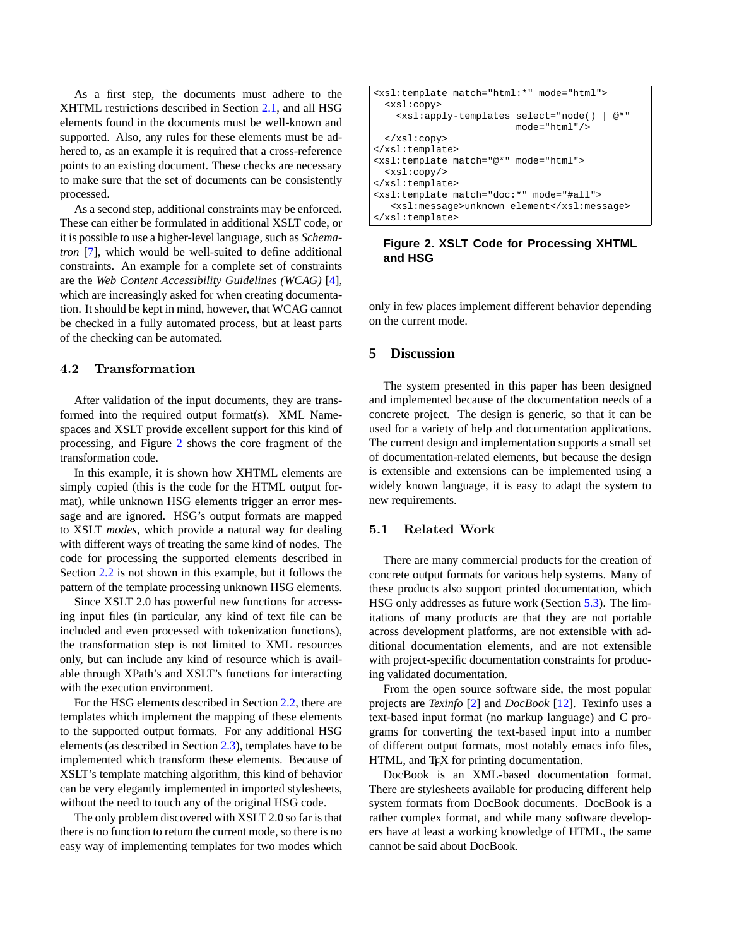<span id="page-3-0"></span>As a first step, the documents must adhere to the XHTML restrictions described in Section [2.1,](#page-1-0) and all HSG elements found in the documents must be well-known and supported. Also, any rules for these elements must be adhered to, as an example it is required that a cross-reference points to an existing document. These checks are necessary to make sure that the set of documents can be consistently processed.

As a second step, additional constraints may be enforced. These can either be formulated in additional XSLT code, or it is possible to use a higher-level language, such as *Schematron* [\[7\]](#page-4-0), which would be well-suited to define additional constraints. An example for a complete set of constraints are the *Web Content Accessibility Guidelines (WCAG)* [\[4\]](#page-4-0), which are increasingly asked for when creating documentation. It should be kept in mind, however, that WCAG cannot be checked in a fully automated process, but at least parts of the checking can be automated.

#### 4.2 Transformation

After validation of the input documents, they are transformed into the required output format(s). XML Namespaces and XSLT provide excellent support for this kind of processing, and Figure 2 shows the core fragment of the transformation code.

In this example, it is shown how XHTML elements are simply copied (this is the code for the HTML output format), while unknown HSG elements trigger an error message and are ignored. HSG's output formats are mapped to XSLT *modes*, which provide a natural way for dealing with different ways of treating the same kind of nodes. The code for processing the supported elements described in Section [2.2](#page-1-0) is not shown in this example, but it follows the pattern of the template processing unknown HSG elements.

Since XSLT 2.0 has powerful new functions for accessing input files (in particular, any kind of text file can be included and even processed with tokenization functions), the transformation step is not limited to XML resources only, but can include any kind of resource which is available through XPath's and XSLT's functions for interacting with the execution environment.

For the HSG elements described in Section [2.2,](#page-1-0) there are templates which implement the mapping of these elements to the supported output formats. For any additional HSG elements (as described in Section [2.3\)](#page-2-0), templates have to be implemented which transform these elements. Because of XSLT's template matching algorithm, this kind of behavior can be very elegantly implemented in imported stylesheets, without the need to touch any of the original HSG code.

The only problem discovered with XSLT 2.0 so far is that there is no function to return the current mode, so there is no easy way of implementing templates for two modes which

| <xsl:template match="html:*" mode="html"></xsl:template>                                                |
|---------------------------------------------------------------------------------------------------------|
| <xsl:copy></xsl:copy>                                                                                   |
| @* "<br><xsl:apply-templates html*="" select="node()&lt;br&gt;&lt;math&gt;mode="></xsl:apply-templates> |
| $\langle xsl:copy \rangle$                                                                              |
|                                                                                                         |
| <xsl:template match="@*" mode="html"></xsl:template>                                                    |
| $<$ xsl:copy/>                                                                                          |
|                                                                                                         |
| <xsl:template match="doc:*" mode="#all"></xsl:template>                                                 |
| <xsl:message>unknown element</xsl:message>                                                              |
|                                                                                                         |

### **Figure 2. XSLT Code for Processing XHTML and HSG**

only in few places implement different behavior depending on the current mode.

## **5 Discussion**

The system presented in this paper has been designed and implemented because of the documentation needs of a concrete project. The design is generic, so that it can be used for a variety of help and documentation applications. The current design and implementation supports a small set of documentation-related elements, but because the design is extensible and extensions can be implemented using a widely known language, it is easy to adapt the system to new requirements.

#### 5.1 Related Work

There are many commercial products for the creation of concrete output formats for various help systems. Many of these products also support printed documentation, which HSG only addresses as future work (Section [5.3\)](#page-4-0). The limitations of many products are that they are not portable across development platforms, are not extensible with additional documentation elements, and are not extensible with project-specific documentation constraints for producing validated documentation.

From the open source software side, the most popular projects are *Texinfo* [\[2\]](#page-4-0) and *DocBook* [\[12\]](#page-4-0). Texinfo uses a text-based input format (no markup language) and C programs for converting the text-based input into a number of different output formats, most notably emacs info files, HTML, and TEX for printing documentation.

DocBook is an XML-based documentation format. There are stylesheets available for producing different help system formats from DocBook documents. DocBook is a rather complex format, and while many software developers have at least a working knowledge of HTML, the same cannot be said about DocBook.